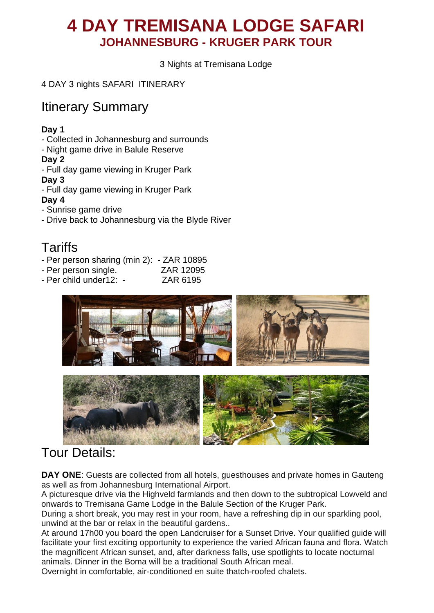# **4 DAY TREMISANA LODGE SAFARI JOHANNESBURG - KRUGER PARK TOUR**

3 Nights at Tremisana Lodge

4 DAY 3 nights SAFARI ITINERARY

## Itinerary Summary

#### **Day 1**

- Collected in Johannesburg and surrounds
- Night game drive in Balule Reserve

#### **Day 2**

- Full day game viewing in Kruger Park

#### **Day 3**

- Full day game viewing in Kruger Park

#### **Day 4**

- Sunrise game drive
- Drive back to Johannesburg via the Blyde River

## **Tariffs**

- Per person sharing (min 2): ZAR 10895
- Per person single. ZAR 12095
- Per child under12: ZAR 6195





# Tour Details:

**DAY ONE**: Guests are collected from all hotels, guesthouses and private homes in Gauteng as well as from Johannesburg International Airport.

A picturesque drive via the Highveld farmlands and then down to the subtropical Lowveld and onwards to Tremisana Game Lodge in the Balule Section of the Kruger Park.

During a short break, you may rest in your room, have a refreshing dip in our sparkling pool, unwind at the bar or relax in the beautiful gardens..

At around 17h00 you board the open Landcruiser for a Sunset Drive. Your qualified guide will facilitate your first exciting opportunity to experience the varied African fauna and flora. Watch the magnificent African sunset, and, after darkness falls, use spotlights to locate nocturnal animals. Dinner in the Boma will be a traditional South African meal.

Overnight in comfortable, air-conditioned en suite thatch-roofed chalets.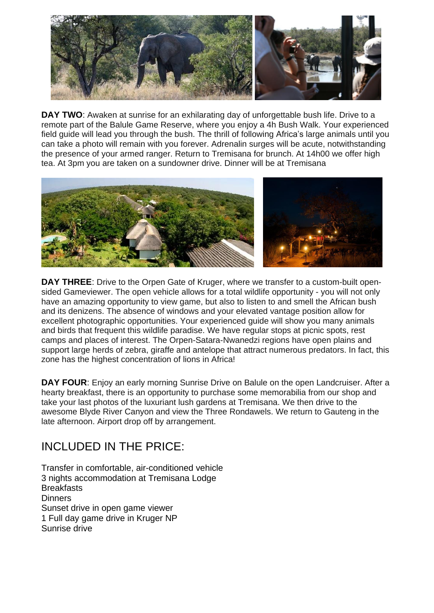

**DAY TWO**: Awaken at sunrise for an exhilarating day of unforgettable bush life. Drive to a remote part of the Balule Game Reserve, where you enjoy a 4h Bush Walk. Your experienced field guide will lead you through the bush. The thrill of following Africa's large animals until you can take a photo will remain with you forever. Adrenalin surges will be acute, notwithstanding the presence of your armed ranger. Return to Tremisana for brunch. At 14h00 we offer high tea. At 3pm you are taken on a sundowner drive. Dinner will be at Tremisana



**DAY THREE**: Drive to the Orpen Gate of Kruger, where we transfer to a custom-built opensided Gameviewer. The open vehicle allows for a total wildlife opportunity - you will not only have an amazing opportunity to view game, but also to listen to and smell the African bush and its denizens. The absence of windows and your elevated vantage position allow for excellent photographic opportunities. Your experienced guide will show you many animals and birds that frequent this wildlife paradise. We have regular stops at picnic spots, rest camps and places of interest. The Orpen-Satara-Nwanedzi regions have open plains and support large herds of zebra, giraffe and antelope that attract numerous predators. In fact, this zone has the highest concentration of lions in Africa!

**DAY FOUR**: Enjoy an early morning Sunrise Drive on Balule on the open Landcruiser. After a hearty breakfast, there is an opportunity to purchase some memorabilia from our shop and take your last photos of the luxuriant lush gardens at Tremisana. We then drive to the awesome Blyde River Canyon and view the Three Rondawels. We return to Gauteng in the late afternoon. Airport drop off by arrangement.

### INCLUDED IN THE PRICE:

Transfer in comfortable, air-conditioned vehicle 3 nights accommodation at Tremisana Lodge **Breakfasts Dinners** Sunset drive in open game viewer 1 Full day game drive in Kruger NP Sunrise drive